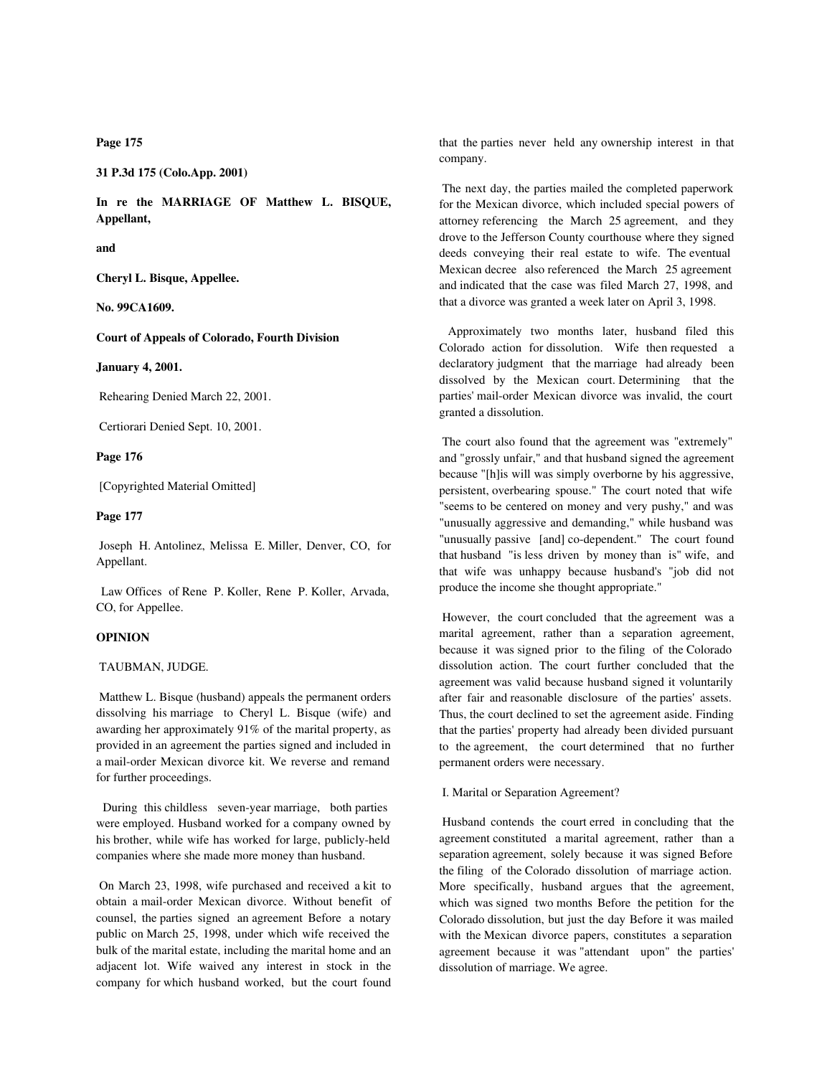**Page 175**

**31 P.3d 175 (Colo.App. 2001)**

**In re the MARRIAGE OF Matthew L. BISQUE, Appellant,**

**and**

**Cheryl L. Bisque, Appellee.**

**No. 99CA1609.**

**Court of Appeals of Colorado, Fourth Division**

**January 4, 2001.**

Rehearing Denied March 22, 2001.

Certiorari Denied Sept. 10, 2001.

**Page 176**

[Copyrighted Material Omitted]

**Page 177**

 Joseph H. Antolinez, Melissa E. Miller, Denver, CO, for Appellant.

 Law Offices of Rene P. Koller, Rene P. Koller, Arvada, CO, for Appellee.

#### **OPINION**

# TAUBMAN, JUDGE.

 Matthew L. Bisque (husband) appeals the permanent orders dissolving his marriage to Cheryl L. Bisque (wife) and awarding her approximately 91% of the marital property, as provided in an agreement the parties signed and included in a mail-order Mexican divorce kit. We reverse and remand for further proceedings.

 During this childless seven-year marriage, both parties were employed. Husband worked for a company owned by his brother, while wife has worked for large, publicly-held companies where she made more money than husband.

 On March 23, 1998, wife purchased and received a kit to obtain a mail-order Mexican divorce. Without benefit of counsel, the parties signed an agreement Before a notary public on March 25, 1998, under which wife received the bulk of the marital estate, including the marital home and an adjacent lot. Wife waived any interest in stock in the company for which husband worked, but the court found that the parties never held any ownership interest in that company.

 The next day, the parties mailed the completed paperwork for the Mexican divorce, which included special powers of attorney referencing the March 25 agreement, and they drove to the Jefferson County courthouse where they signed deeds conveying their real estate to wife. The eventual Mexican decree also referenced the March 25 agreement and indicated that the case was filed March 27, 1998, and that a divorce was granted a week later on April 3, 1998.

 Approximately two months later, husband filed this Colorado action for dissolution. Wife then requested a declaratory judgment that the marriage had already been dissolved by the Mexican court. Determining that the parties' mail-order Mexican divorce was invalid, the court granted a dissolution.

 The court also found that the agreement was "extremely" and "grossly unfair," and that husband signed the agreement because "[h]is will was simply overborne by his aggressive, persistent, overbearing spouse." The court noted that wife "seems to be centered on money and very pushy," and was "unusually aggressive and demanding," while husband was "unusually passive [and] co-dependent." The court found that husband "is less driven by money than is" wife, and that wife was unhappy because husband's "job did not produce the income she thought appropriate."

 However, the court concluded that the agreement was a marital agreement, rather than a separation agreement, because it was signed prior to the filing of the Colorado dissolution action. The court further concluded that the agreement was valid because husband signed it voluntarily after fair and reasonable disclosure of the parties' assets. Thus, the court declined to set the agreement aside. Finding that the parties' property had already been divided pursuant to the agreement, the court determined that no further permanent orders were necessary.

I. Marital or Separation Agreement?

 Husband contends the court erred in concluding that the agreement constituted a marital agreement, rather than a separation agreement, solely because it was signed Before the filing of the Colorado dissolution of marriage action. More specifically, husband argues that the agreement, which was signed two months Before the petition for the Colorado dissolution, but just the day Before it was mailed with the Mexican divorce papers, constitutes a separation agreement because it was "attendant upon" the parties' dissolution of marriage. We agree.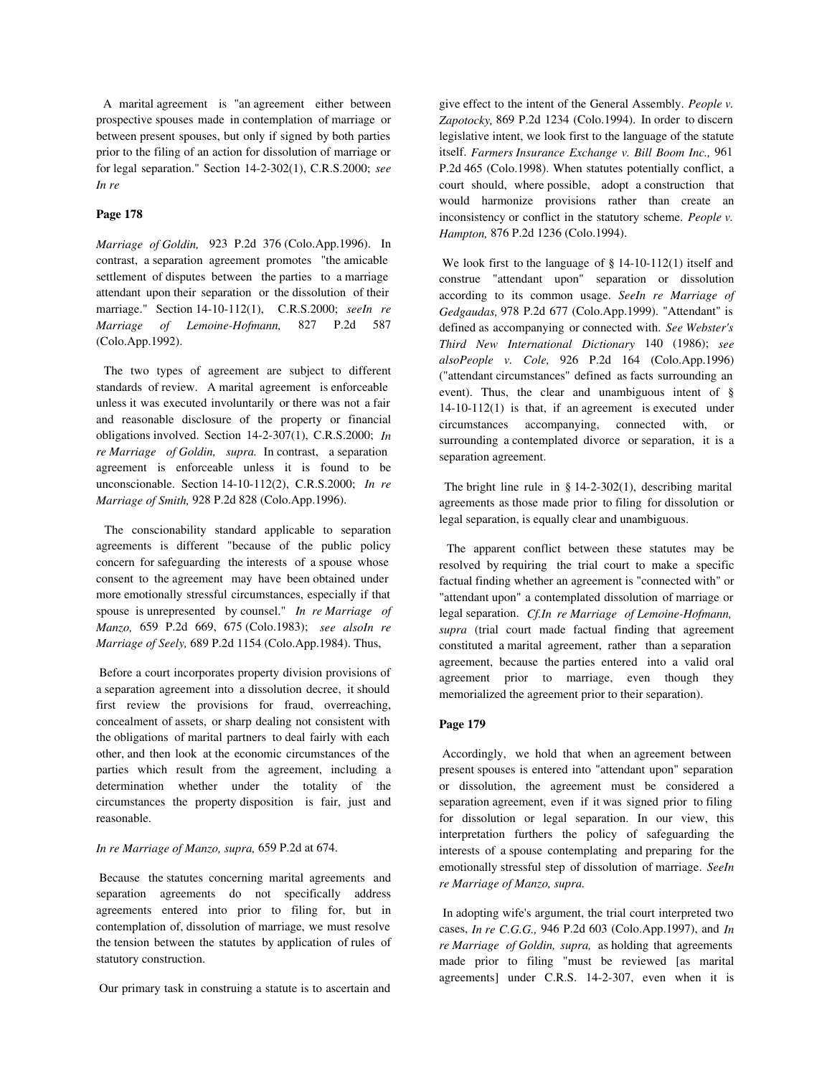A marital agreement is "an agreement either between prospective spouses made in contemplation of marriage or between present spouses, but only if signed by both parties prior to the filing of an action for dissolution of marriage or for legal separation." Section 14-2-302(1), C.R.S.2000; *see In re*

# **Page 178**

*Marriage of Goldin,* 923 P.2d 376 (Colo.App.1996). In contrast, a separation agreement promotes "the amicable settlement of disputes between the parties to a marriage attendant upon their separation or the dissolution of their marriage." Section 14-10-112(1), C.R.S.2000; *seeIn re Marriage of Lemoine-Hofmann,* 827 P.2d 587 (Colo.App.1992).

 The two types of agreement are subject to different standards of review. A marital agreement is enforceable unless it was executed involuntarily or there was not a fair and reasonable disclosure of the property or financial obligations involved. Section 14-2-307(1), C.R.S.2000; *In re Marriage of Goldin, supra.* In contrast, a separation agreement is enforceable unless it is found to be unconscionable. Section 14-10-112(2), C.R.S.2000; *In re Marriage of Smith,* 928 P.2d 828 (Colo.App.1996).

 The conscionability standard applicable to separation agreements is different "because of the public policy concern for safeguarding the interests of a spouse whose consent to the agreement may have been obtained under more emotionally stressful circumstances, especially if that spouse is unrepresented by counsel." *In re Marriage of Manzo,* 659 P.2d 669, 675 (Colo.1983); *see alsoIn re Marriage of Seely,* 689 P.2d 1154 (Colo.App.1984). Thus,

 Before a court incorporates property division provisions of a separation agreement into a dissolution decree, it should first review the provisions for fraud, overreaching, concealment of assets, or sharp dealing not consistent with the obligations of marital partners to deal fairly with each other, and then look at the economic circumstances of the parties which result from the agreement, including a determination whether under the totality of the circumstances the property disposition is fair, just and reasonable.

# *In re Marriage of Manzo, supra,* 659 P.2d at 674.

 Because the statutes concerning marital agreements and separation agreements do not specifically address agreements entered into prior to filing for, but in contemplation of, dissolution of marriage, we must resolve the tension between the statutes by application of rules of statutory construction.

Our primary task in construing a statute is to ascertain and

give effect to the intent of the General Assembly. *People v. Zapotocky,* 869 P.2d 1234 (Colo.1994). In order to discern legislative intent, we look first to the language of the statute itself. *Farmers Insurance Exchange v. Bill Boom Inc.,* 961 P.2d 465 (Colo.1998). When statutes potentially conflict, a court should, where possible, adopt a construction that would harmonize provisions rather than create an inconsistency or conflict in the statutory scheme. *People v. Hampton,* 876 P.2d 1236 (Colo.1994).

We look first to the language of § 14-10-112(1) itself and construe "attendant upon" separation or dissolution according to its common usage. *SeeIn re Marriage of Gedgaudas,* 978 P.2d 677 (Colo.App.1999). "Attendant" is defined as accompanying or connected with. *See Webster's Third New International Dictionary* 140 (1986); *see alsoPeople v. Cole,* 926 P.2d 164 (Colo.App.1996) ("attendant circumstances" defined as facts surrounding an event). Thus, the clear and unambiguous intent of § 14-10-112(1) is that, if an agreement is executed under circumstances accompanying, connected with, or surrounding a contemplated divorce or separation, it is a separation agreement.

 The bright line rule in § 14-2-302(1), describing marital agreements as those made prior to filing for dissolution or legal separation, is equally clear and unambiguous.

 The apparent conflict between these statutes may be resolved by requiring the trial court to make a specific factual finding whether an agreement is "connected with" or "attendant upon" a contemplated dissolution of marriage or legal separation. *Cf.In re Marriage of Lemoine-Hofmann, supra* (trial court made factual finding that agreement constituted a marital agreement, rather than a separation agreement, because the parties entered into a valid oral agreement prior to marriage, even though they memorialized the agreement prior to their separation).

## **Page 179**

 Accordingly, we hold that when an agreement between present spouses is entered into "attendant upon" separation or dissolution, the agreement must be considered a separation agreement, even if it was signed prior to filing for dissolution or legal separation. In our view, this interpretation furthers the policy of safeguarding the interests of a spouse contemplating and preparing for the emotionally stressful step of dissolution of marriage. *SeeIn re Marriage of Manzo, supra.*

 In adopting wife's argument, the trial court interpreted two cases, *In re C.G.G.,* 946 P.2d 603 (Colo.App.1997), and *In re Marriage of Goldin, supra,* as holding that agreements made prior to filing "must be reviewed [as marital agreements] under C.R.S. 14-2-307, even when it is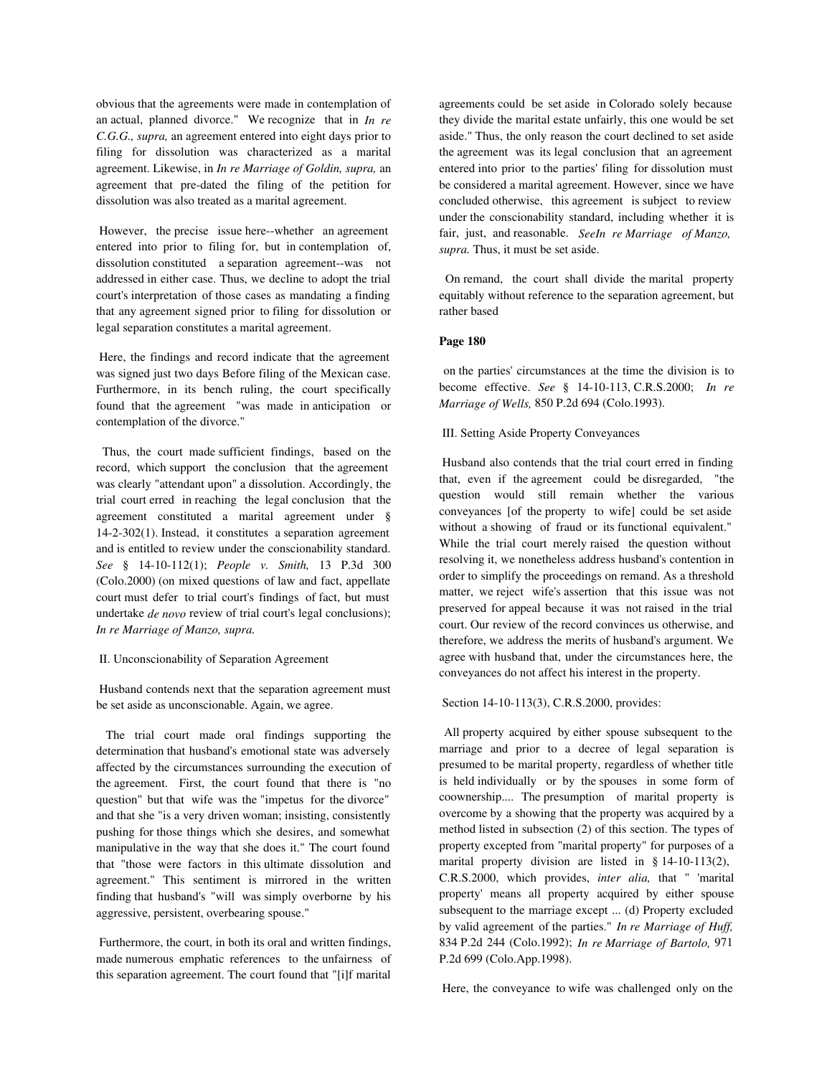obvious that the agreements were made in contemplation of an actual, planned divorce." We recognize that in *In re C.G.G., supra,* an agreement entered into eight days prior to filing for dissolution was characterized as a marital agreement. Likewise, in *In re Marriage of Goldin, supra,* an agreement that pre-dated the filing of the petition for dissolution was also treated as a marital agreement.

 However, the precise issue here--whether an agreement entered into prior to filing for, but in contemplation of, dissolution constituted a separation agreement--was not addressed in either case. Thus, we decline to adopt the trial court's interpretation of those cases as mandating a finding that any agreement signed prior to filing for dissolution or legal separation constitutes a marital agreement.

 Here, the findings and record indicate that the agreement was signed just two days Before filing of the Mexican case. Furthermore, in its bench ruling, the court specifically found that the agreement "was made in anticipation or contemplation of the divorce."

 Thus, the court made sufficient findings, based on the record, which support the conclusion that the agreement was clearly "attendant upon" a dissolution. Accordingly, the trial court erred in reaching the legal conclusion that the agreement constituted a marital agreement under § 14-2-302(1). Instead, it constitutes a separation agreement and is entitled to review under the conscionability standard. *See* § 14-10-112(1); *People v. Smith,* 13 P.3d 300 (Colo.2000) (on mixed questions of law and fact, appellate court must defer to trial court's findings of fact, but must undertake *de novo* review of trial court's legal conclusions); *In re Marriage of Manzo, supra.*

#### II. Unconscionability of Separation Agreement

 Husband contends next that the separation agreement must be set aside as unconscionable. Again, we agree.

 The trial court made oral findings supporting the determination that husband's emotional state was adversely affected by the circumstances surrounding the execution of the agreement. First, the court found that there is "no question" but that wife was the "impetus for the divorce" and that she "is a very driven woman; insisting, consistently pushing for those things which she desires, and somewhat manipulative in the way that she does it." The court found that "those were factors in this ultimate dissolution and agreement." This sentiment is mirrored in the written finding that husband's "will was simply overborne by his aggressive, persistent, overbearing spouse."

 Furthermore, the court, in both its oral and written findings, made numerous emphatic references to the unfairness of this separation agreement. The court found that "[i]f marital

agreements could be set aside in Colorado solely because they divide the marital estate unfairly, this one would be set aside." Thus, the only reason the court declined to set aside the agreement was its legal conclusion that an agreement entered into prior to the parties' filing for dissolution must be considered a marital agreement. However, since we have concluded otherwise, this agreement is subject to review under the conscionability standard, including whether it is fair, just, and reasonable. *SeeIn re Marriage of Manzo, supra.* Thus, it must be set aside.

 On remand, the court shall divide the marital property equitably without reference to the separation agreement, but rather based

## **Page 180**

 on the parties' circumstances at the time the division is to become effective. *See* § 14-10-113, C.R.S.2000; *In re Marriage of Wells,* 850 P.2d 694 (Colo.1993).

## III. Setting Aside Property Conveyances

 Husband also contends that the trial court erred in finding that, even if the agreement could be disregarded, "the question would still remain whether the various conveyances [of the property to wife] could be set aside without a showing of fraud or its functional equivalent." While the trial court merely raised the question without resolving it, we nonetheless address husband's contention in order to simplify the proceedings on remand. As a threshold matter, we reject wife's assertion that this issue was not preserved for appeal because it was not raised in the trial court. Our review of the record convinces us otherwise, and therefore, we address the merits of husband's argument. We agree with husband that, under the circumstances here, the conveyances do not affect his interest in the property.

#### Section 14-10-113(3), C.R.S.2000, provides:

 All property acquired by either spouse subsequent to the marriage and prior to a decree of legal separation is presumed to be marital property, regardless of whether title is held individually or by the spouses in some form of coownership.... The presumption of marital property is overcome by a showing that the property was acquired by a method listed in subsection (2) of this section. The types of property excepted from "marital property" for purposes of a marital property division are listed in § 14-10-113(2), C.R.S.2000, which provides, *inter alia,* that " 'marital property' means all property acquired by either spouse subsequent to the marriage except ... (d) Property excluded by valid agreement of the parties." *In re Marriage of Huff,* 834 P.2d 244 (Colo.1992); *In re Marriage of Bartolo,* 971 P.2d 699 (Colo.App.1998).

Here, the conveyance to wife was challenged only on the